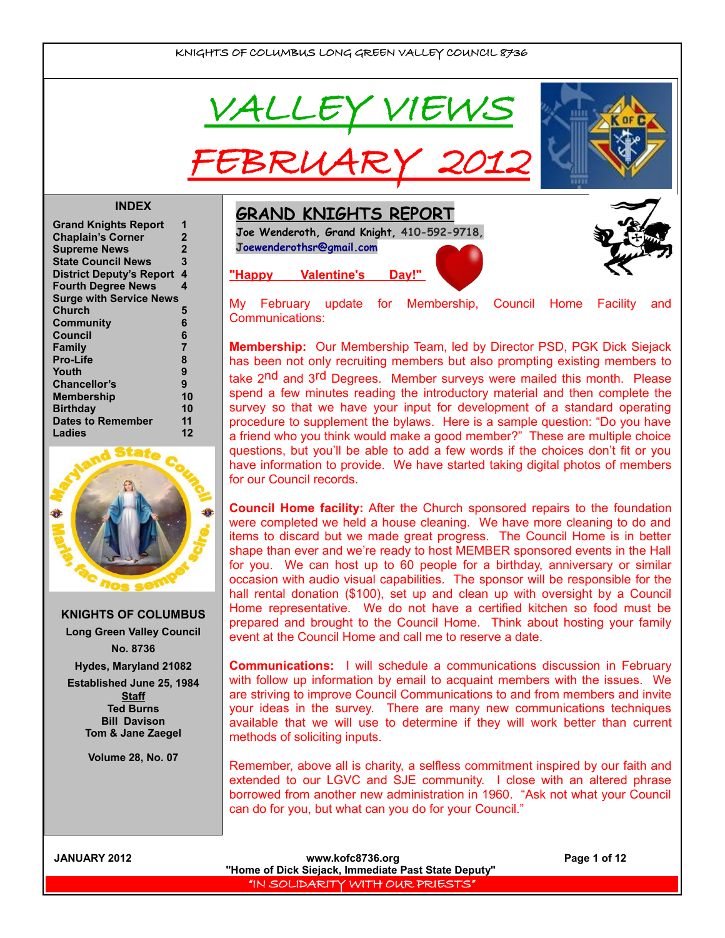

FEBRUARY 2012



#### **INDEX**

| <b>Grand Knights Report</b>     | 1              |
|---------------------------------|----------------|
| <b>Chaplain's Corner</b>        | $\mathbf 2$    |
| <b>Supreme News</b>             | $\overline{2}$ |
| <b>State Council News</b>       | 3              |
| <b>District Deputy's Report</b> | 4              |
| <b>Fourth Degree News</b>       | 4              |
| <b>Surge with Service News</b>  |                |
| Church                          | 5              |
| Community                       | 6              |
| Council                         | 6              |
| Family                          | 7              |
| <b>Pro-Life</b>                 | 8              |
| Youth                           | 9              |
| <b>Chancellor's</b>             | 9              |
| <b>Membership</b>               | 10             |
| <b>Birthday</b>                 | 10             |
| <b>Dates to Remember</b>        | 11             |
| Ladies                          | 12             |



**KNIGHTS OF COLUMBUS Long Green Valley Council No. 8736 Hydes, Maryland 21082 Established June 25, 1984 Staff Ted Burns Bill Davison Tom & Jane Zaegel**

**Volume 28, No. 07**

**GRAND KNIGHTS REPORT**

**Joe Wenderoth, Grand Knight, 410-592-9718, [Joewenderothsr@gmail.com](mailto:Joewenderothsr@gmail.com)**

## **"Happy Valentine's Day!"**

My February update for Membership, Council Home Facility and Communications:

**Membership:** Our Membership Team, led by Director PSD, PGK Dick Siejack has been not only recruiting members but also prompting existing members to take 2<sup>nd</sup> and 3<sup>rd</sup> Degrees. Member surveys were mailed this month. Please spend a few minutes reading the introductory material and then complete the survey so that we have your input for development of a standard operating procedure to supplement the bylaws. Here is a sample question: "Do you have a friend who you think would make a good member?" These are multiple choice questions, but you'll be able to add a few words if the choices don't fit or you have information to provide. We have started taking digital photos of members for our Council records.

**Council Home facility:** After the Church sponsored repairs to the foundation were completed we held a house cleaning. We have more cleaning to do and items to discard but we made great progress. The Council Home is in better shape than ever and we're ready to host MEMBER sponsored events in the Hall for you. We can host up to 60 people for a birthday, anniversary or similar occasion with audio visual capabilities. The sponsor will be responsible for the hall rental donation (\$100), set up and clean up with oversight by a Council Home representative. We do not have a certified kitchen so food must be prepared and brought to the Council Home. Think about hosting your family event at the Council Home and call me to reserve a date.

**Communications:** I will schedule a communications discussion in February with follow up information by email to acquaint members with the issues. We are striving to improve Council Communications to and from members and invite your ideas in the survey. There are many new communications techniques available that we will use to determine if they will work better than current methods of soliciting inputs.

Remember, above all is charity, a selfless commitment inspired by our faith and extended to our LGVC and SJE community. I close with an altered phrase borrowed from another new administration in 1960. "Ask not what your Council can do for you, but what can you do for your Council."

| <b>JANUARY 2012</b> |      |
|---------------------|------|
|                     | "Hor |

www.kofc8736.org Page 1 of 12 **"Home of Dick Siejack, Immediate Past State Deputy"**  "IN SOLIDARITY WITH OUR PRIESTS"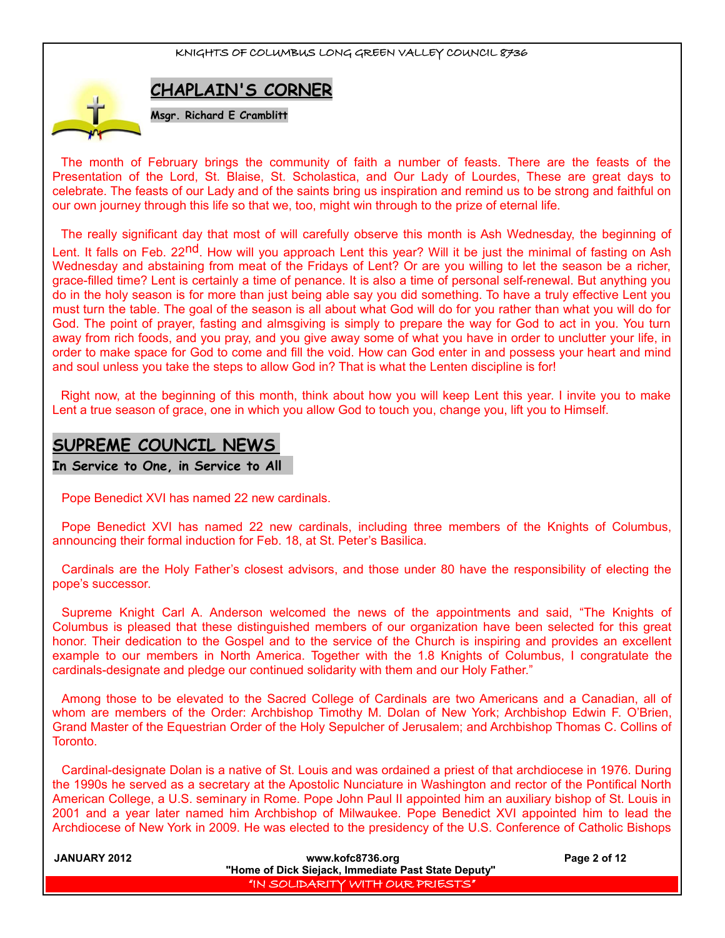

The month of February brings the community of faith a number of feasts. There are the feasts of the Presentation of the Lord, St. Blaise, St. Scholastica, and Our Lady of Lourdes, These are great days to celebrate. The feasts of our Lady and of the saints bring us inspiration and remind us to be strong and faithful on our own journey through this life so that we, too, might win through to the prize of eternal life.

The really significant day that most of will carefully observe this month is Ash Wednesday, the beginning of Lent. It falls on Feb. 22<sup>nd</sup>. How will you approach Lent this year? Will it be just the minimal of fasting on Ash Wednesday and abstaining from meat of the Fridays of Lent? Or are you willing to let the season be a richer, grace-filled time? Lent is certainly a time of penance. It is also a time of personal self-renewal. But anything you do in the holy season is for more than just being able say you did something. To have a truly effective Lent you must turn the table. The goal of the season is all about what God will do for you rather than what you will do for God. The point of prayer, fasting and almsgiving is simply to prepare the way for God to act in you. You turn away from rich foods, and you pray, and you give away some of what you have in order to unclutter your life, in order to make space for God to come and fill the void. How can God enter in and possess your heart and mind and soul unless you take the steps to allow God in? That is what the Lenten discipline is for!

Right now, at the beginning of this month, think about how you will keep Lent this year. I invite you to make Lent a true season of grace, one in which you allow God to touch you, change you, lift you to Himself.

# **SUPREME COUNCIL NEWS**

**In Service to One, in Service to All** 

Pope Benedict XVI has named 22 new cardinals.

Pope Benedict XVI has named 22 new cardinals, including three members of the Knights of Columbus, announcing their formal induction for Feb. 18, at St. Peter's Basilica.

Cardinals are the Holy Father's closest advisors, and those under 80 have the responsibility of electing the pope's successor.

Supreme Knight Carl A. Anderson welcomed the news of the appointments and said, "The Knights of Columbus is pleased that these distinguished members of our organization have been selected for this great honor. Their dedication to the Gospel and to the service of the Church is inspiring and provides an excellent example to our members in North America. Together with the 1.8 Knights of Columbus, I congratulate the cardinals-designate and pledge our continued solidarity with them and our Holy Father."

Among those to be elevated to the Sacred College of Cardinals are two Americans and a Canadian, all of whom are members of the Order: Archbishop Timothy M. Dolan of New York; Archbishop Edwin F. O'Brien, Grand Master of the Equestrian Order of the Holy Sepulcher of Jerusalem; and Archbishop Thomas C. Collins of Toronto.

Cardinal-designate Dolan is a native of St. Louis and was ordained a priest of that archdiocese in 1976. During the 1990s he served as a secretary at the Apostolic Nunciature in Washington and rector of the Pontifical North American College, a U.S. seminary in Rome. Pope John Paul II appointed him an auxiliary bishop of St. Louis in 2001 and a year later named him Archbishop of Milwaukee. Pope Benedict XVI appointed him to lead the Archdiocese of New York in 2009. He was elected to the presidency of the U.S. Conference of Catholic Bishops

| <b>JANUARY 2012</b> | www.kofc8736.org                                    | Page 2 of 12 |
|---------------------|-----------------------------------------------------|--------------|
|                     | "Home of Dick Siejack, Immediate Past State Deputy" |              |
|                     | "IN SOLIDARITY WITH OUR PRIESTS"                    |              |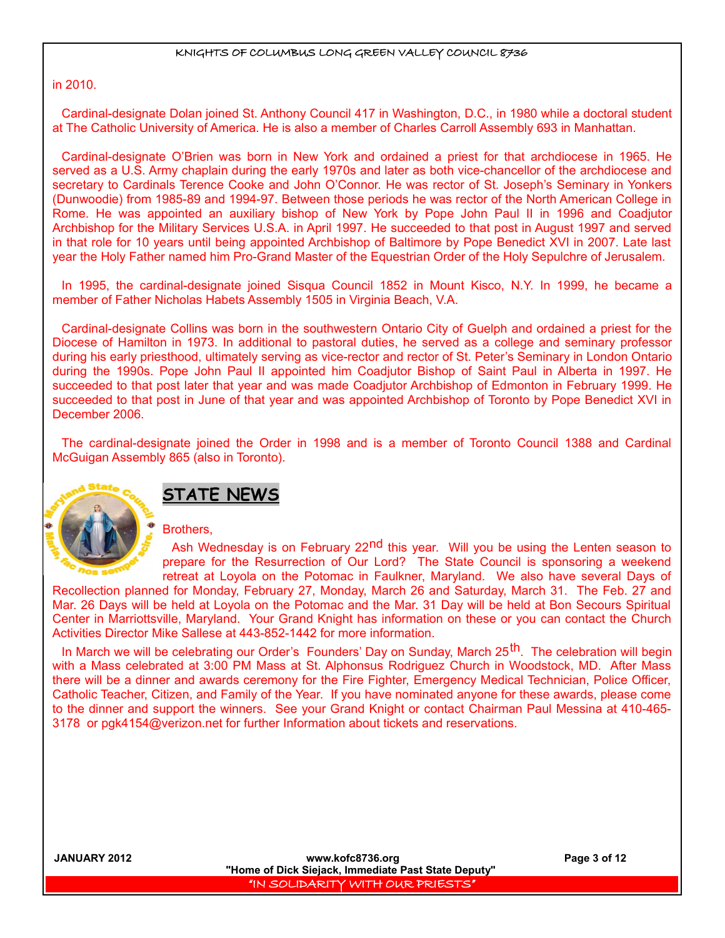in 2010.

Cardinal-designate Dolan joined St. Anthony Council 417 in Washington, D.C., in 1980 while a doctoral student at The Catholic University of America. He is also a member of Charles Carroll Assembly 693 in Manhattan.

Cardinal-designate O'Brien was born in New York and ordained a priest for that archdiocese in 1965. He served as a U.S. Army chaplain during the early 1970s and later as both vice-chancellor of the archdiocese and secretary to Cardinals Terence Cooke and John O'Connor. He was rector of St. Joseph's Seminary in Yonkers (Dunwoodie) from 1985-89 and 1994-97. Between those periods he was rector of the North American College in Rome. He was appointed an auxiliary bishop of New York by Pope John Paul II in 1996 and Coadjutor Archbishop for the Military Services U.S.A. in April 1997. He succeeded to that post in August 1997 and served in that role for 10 years until being appointed Archbishop of Baltimore by Pope Benedict XVI in 2007. Late last year the Holy Father named him Pro-Grand Master of the Equestrian Order of the Holy Sepulchre of Jerusalem.

In 1995, the cardinal-designate joined Sisqua Council 1852 in Mount Kisco, N.Y. In 1999, he became a member of Father Nicholas Habets Assembly 1505 in Virginia Beach, V.A.

Cardinal-designate Collins was born in the southwestern Ontario City of Guelph and ordained a priest for the Diocese of Hamilton in 1973. In additional to pastoral duties, he served as a college and seminary professor during his early priesthood, ultimately serving as vice-rector and rector of St. Peter's Seminary in London Ontario during the 1990s. Pope John Paul II appointed him Coadjutor Bishop of Saint Paul in Alberta in 1997. He succeeded to that post later that year and was made Coadjutor Archbishop of Edmonton in February 1999. He succeeded to that post in June of that year and was appointed Archbishop of Toronto by Pope Benedict XVI in December 2006.

The cardinal-designate joined the Order in 1998 and is a member of Toronto Council 1388 and Cardinal McGuigan Assembly 865 (also in Toronto).



# **STATE NEWS**

Brothers,

Ash Wednesday is on February 22<sup>nd</sup> this year. Will you be using the Lenten season to prepare for the Resurrection of Our Lord? The State Council is sponsoring a weekend retreat at Loyola on the Potomac in Faulkner, Maryland. We also have several Days of

Recollection planned for Monday, February 27, Monday, March 26 and Saturday, March 31. The Feb. 27 and Mar. 26 Days will be held at Loyola on the Potomac and the Mar. 31 Day will be held at Bon Secours Spiritual Center in Marriottsville, Maryland. Your Grand Knight has information on these or you can contact the Church Activities Director Mike Sallese at 443-852-1442 for more information.

In March we will be celebrating our Order's Founders' Day on Sunday, March 25<sup>th</sup>. The celebration will begin with a Mass celebrated at 3:00 PM Mass at St. Alphonsus Rodriguez Church in Woodstock, MD. After Mass there will be a dinner and awards ceremony for the Fire Fighter, Emergency Medical Technician, Police Officer, Catholic Teacher, Citizen, and Family of the Year. If you have nominated anyone for these awards, please come to the dinner and support the winners. See your Grand Knight or contact Chairman Paul Messina at 410-465- 3178 or pgk4154@verizon.net for further Information about tickets and reservations.

**JANUARY 2012 www.kofc8736.org Page 3 of 12 "Home of Dick Siejack, Immediate Past State Deputy"**  "IN SOLIDARITY WITH OUR PRIESTS"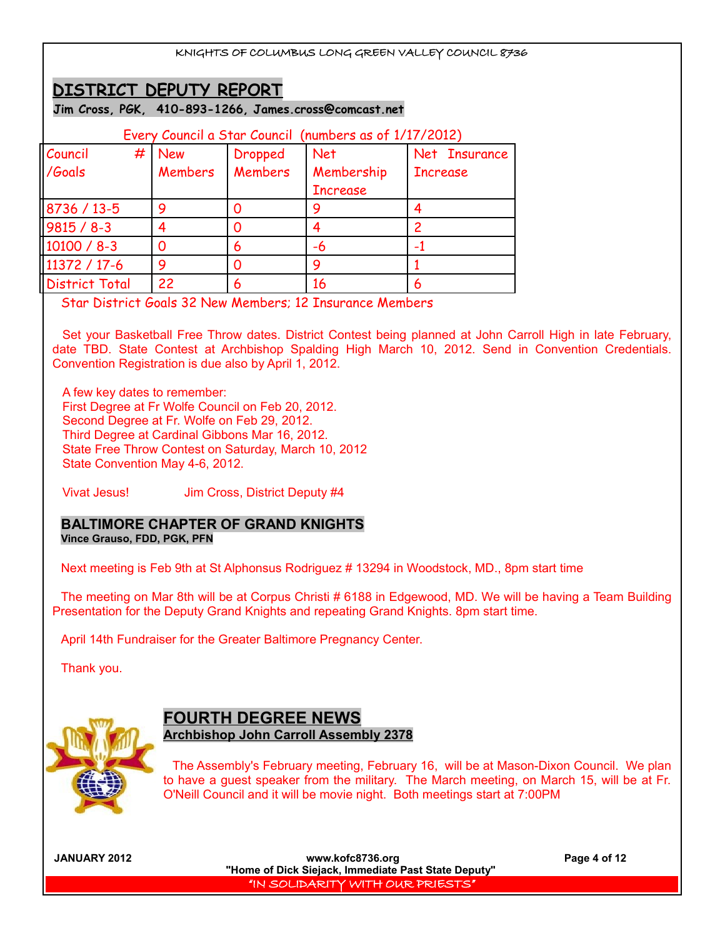# **DISTRICT DEPUTY REPORT**

**Jim Cross, PGK, 410-893-1266, James.cross@comcast.net**

| Every Council a Star Council (numbers as of 1/17/2012) |                |         |                 |                 |
|--------------------------------------------------------|----------------|---------|-----------------|-----------------|
| Council                                                | $#$ New        | Dropped | <b>Net</b>      | Net Insurance   |
| /Goals                                                 | <b>Members</b> | Members | Membership      | <b>Increase</b> |
|                                                        |                |         | <b>Increase</b> |                 |
| 8736 / 13-5                                            | q              | Ω       |                 |                 |
| $9815 / 8 - 3$                                         |                | Ω       |                 |                 |
| $10100 / 8 - 3$                                        |                | 6       | -6              |                 |
| 11372 / 17-6                                           | a              | Ω       | g               |                 |
| <b>District Total</b>                                  | 22             | 6       | 16              |                 |

Star District Goals 32 New Members; 12 Insurance Members

Set your Basketball Free Throw dates. District Contest being planned at John Carroll High in late February, date TBD. State Contest at Archbishop Spalding High March 10, 2012. Send in Convention Credentials. Convention Registration is due also by April 1, 2012.

A few key dates to remember: First Degree at Fr Wolfe Council on Feb 20, 2012. Second Degree at Fr. Wolfe on Feb 29, 2012. Third Degree at Cardinal Gibbons Mar 16, 2012. State Free Throw Contest on Saturday, March 10, 2012 State Convention May 4-6, 2012.

Vivat Jesus! Jim Cross, District Deputy #4

## **BALTIMORE CHAPTER OF GRAND KNIGHTS Vince Grauso, FDD, PGK, PFN**

Next meeting is Feb 9th at St Alphonsus Rodriguez # 13294 in Woodstock, MD., 8pm start time

The meeting on Mar 8th will be at Corpus Christi # 6188 in Edgewood, MD. We will be having a Team Building Presentation for the Deputy Grand Knights and repeating Grand Knights. 8pm start time.

April 14th Fundraiser for the Greater Baltimore Pregnancy Center.

Thank you.



## **FOURTH DEGREE NEWS Archbishop John Carroll Assembly 2378**

The Assembly's February meeting, February 16, will be at Mason-Dixon Council. We plan to have a guest speaker from the military. The March meeting, on March 15, will be at Fr. O'Neill Council and it will be movie night. Both meetings start at 7:00PM

**JANUARY 2012 www.kofc8736.org Page 4 of 12 "Home of Dick Siejack, Immediate Past State Deputy"**  "IN SOLIDARITY WITH OUR PRIESTS"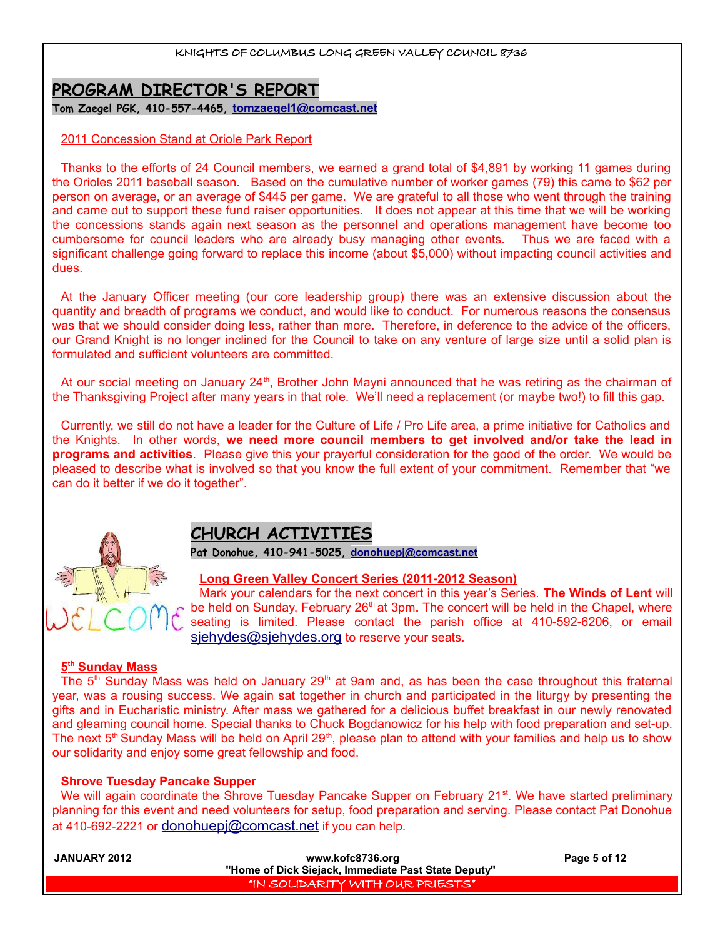# **PROGRAM DIRECTOR'S REPORT**

**Tom Zaegel PGK, 410-557-4465, [tomzaegel1@comcast.net](mailto:tomzaegel1@comcast.net)**

## 2011 Concession Stand at Oriole Park Report

Thanks to the efforts of 24 Council members, we earned a grand total of \$4,891 by working 11 games during the Orioles 2011 baseball season. Based on the cumulative number of worker games (79) this came to \$62 per person on average, or an average of \$445 per game. We are grateful to all those who went through the training and came out to support these fund raiser opportunities. It does not appear at this time that we will be working the concessions stands again next season as the personnel and operations management have become too cumbersome for council leaders who are already busy managing other events. Thus we are faced with a significant challenge going forward to replace this income (about \$5,000) without impacting council activities and dues.

At the January Officer meeting (our core leadership group) there was an extensive discussion about the quantity and breadth of programs we conduct, and would like to conduct. For numerous reasons the consensus was that we should consider doing less, rather than more. Therefore, in deference to the advice of the officers, our Grand Knight is no longer inclined for the Council to take on any venture of large size until a solid plan is formulated and sufficient volunteers are committed.

At our social meeting on January 24<sup>th</sup>, Brother John Mayni announced that he was retiring as the chairman of the Thanksgiving Project after many years in that role. We'll need a replacement (or maybe two!) to fill this gap.

Currently, we still do not have a leader for the Culture of Life / Pro Life area, a prime initiative for Catholics and the Knights. In other words, **we need more council members to get involved and/or take the lead in programs and activities**. Please give this your prayerful consideration for the good of the order. We would be pleased to describe what is involved so that you know the full extent of your commitment. Remember that "we can do it better if we do it together".



# **CHURCH ACTIVITIES**

**Pat Donohue, 410-941-5025, [donohuepj@comcast.net](mailto:donohuepj@comcast.net)**

## **Long Green Valley Concert Series (2011-2012 Season)**

Mark your calendars for the next concert in this year's Series. **The Winds of Lent** will be held on Sunday, February 26<sup>th</sup> at 3pm. The concert will be held in the Chapel, where seating is limited. Please contact the parish office at 410-592-6206, or email [sjehydes@sjehydes.org](mailto:sjehydes@sjehydes.org) to reserve your seats.

## **5 th Sunday Mass**

The  $5<sup>th</sup>$  Sunday Mass was held on January 29<sup>th</sup> at 9am and, as has been the case throughout this fraternal year, was a rousing success. We again sat together in church and participated in the liturgy by presenting the gifts and in Eucharistic ministry. After mass we gathered for a delicious buffet breakfast in our newly renovated and gleaming council home. Special thanks to Chuck Bogdanowicz for his help with food preparation and set-up. The next 5<sup>th</sup> Sunday Mass will be held on April 29<sup>th</sup>, please plan to attend with your families and help us to show our solidarity and enjoy some great fellowship and food.

## **Shrove Tuesday Pancake Supper**

We will again coordinate the Shrove Tuesday Pancake Supper on February 21<sup>st</sup>. We have started preliminary planning for this event and need volunteers for setup, food preparation and serving. Please contact Pat Donohue at 410-692-2221 or [donohuepj@comcast.net](mailto:donohuepj@comcast.net) if you can help.

| <b>JANUARY 2012</b> | www.kofc8736.org                                    | Page 5 of 12 |
|---------------------|-----------------------------------------------------|--------------|
|                     | "Home of Dick Siejack, Immediate Past State Deputy" |              |
|                     | "IN SOLIDARITY WITH OUR PRIESTS"                    |              |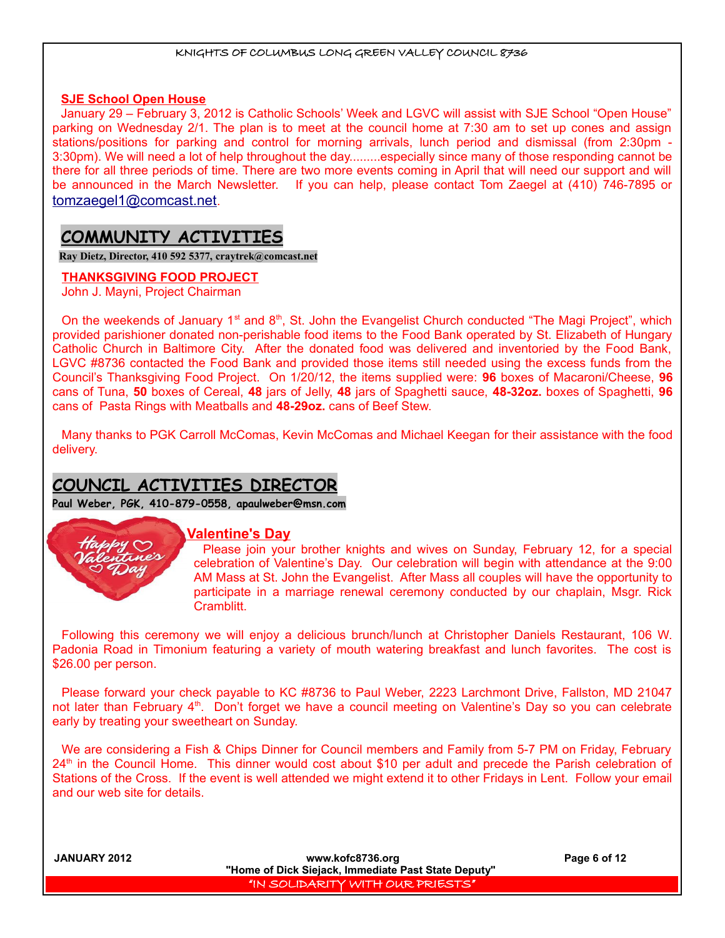#### **SJE School Open House**

January 29 – February 3, 2012 is Catholic Schools' Week and LGVC will assist with SJE School "Open House" parking on Wednesday 2/1. The plan is to meet at the council home at 7:30 am to set up cones and assign stations/positions for parking and control for morning arrivals, lunch period and dismissal (from 2:30pm - 3:30pm). We will need a lot of help throughout the day.........especially since many of those responding cannot be there for all three periods of time. There are two more events coming in April that will need our support and will be announced in the March Newsletter. If you can help, please contact Tom Zaegel at (410) 746-7895 or [tomzaegel1@comcast.net](about:blank).

# **COMMUNITY ACTIVITIES**

**Ray Dietz, Director, 410 592 5377, [craytrek@comcast.net](mailto:craytrek@comcast.net)**

## **THANKSGIVING FOOD PROJECT**

John J. Mayni, Project Chairman

On the weekends of January 1<sup>st</sup> and  $8<sup>th</sup>$ , St. John the Evangelist Church conducted "The Magi Project", which provided parishioner donated non-perishable food items to the Food Bank operated by St. Elizabeth of Hungary Catholic Church in Baltimore City. After the donated food was delivered and inventoried by the Food Bank, LGVC #8736 contacted the Food Bank and provided those items still needed using the excess funds from the Council's Thanksgiving Food Project. On 1/20/12, the items supplied were: **96** boxes of Macaroni/Cheese, **96** cans of Tuna, **50** boxes of Cereal, **48** jars of Jelly, **48** jars of Spaghetti sauce, **48-32oz.** boxes of Spaghetti, **96** cans of Pasta Rings with Meatballs and **48-29oz.** cans of Beef Stew.

Many thanks to PGK Carroll McComas, Kevin McComas and Michael Keegan for their assistance with the food delivery.

# **COUNCIL ACTIVITIES DIRECTOR**

**Paul Weber, PGK, 410-879-0558, apaulweber@msn.com**



## **Valentine's Day**

Please join your brother knights and wives on Sunday, February 12, for a special celebration of Valentine's Day. Our celebration will begin with attendance at the 9:00 AM Mass at St. John the Evangelist. After Mass all couples will have the opportunity to participate in a marriage renewal ceremony conducted by our chaplain, Msgr. Rick Cramblitt.

Following this ceremony we will enjoy a delicious brunch/lunch at Christopher Daniels Restaurant, 106 W. Padonia Road in Timonium featuring a variety of mouth watering breakfast and lunch favorites. The cost is \$26.00 per person.

Please forward your check payable to KC #8736 to Paul Weber, 2223 Larchmont Drive, Fallston, MD 21047 not later than February 4<sup>th</sup>. Don't forget we have a council meeting on Valentine's Day so you can celebrate early by treating your sweetheart on Sunday.

We are considering a Fish & Chips Dinner for Council members and Family from 5-7 PM on Friday, February 24<sup>th</sup> in the Council Home. This dinner would cost about \$10 per adult and precede the Parish celebration of Stations of the Cross. If the event is well attended we might extend it to other Fridays in Lent. Follow your email and our web site for details.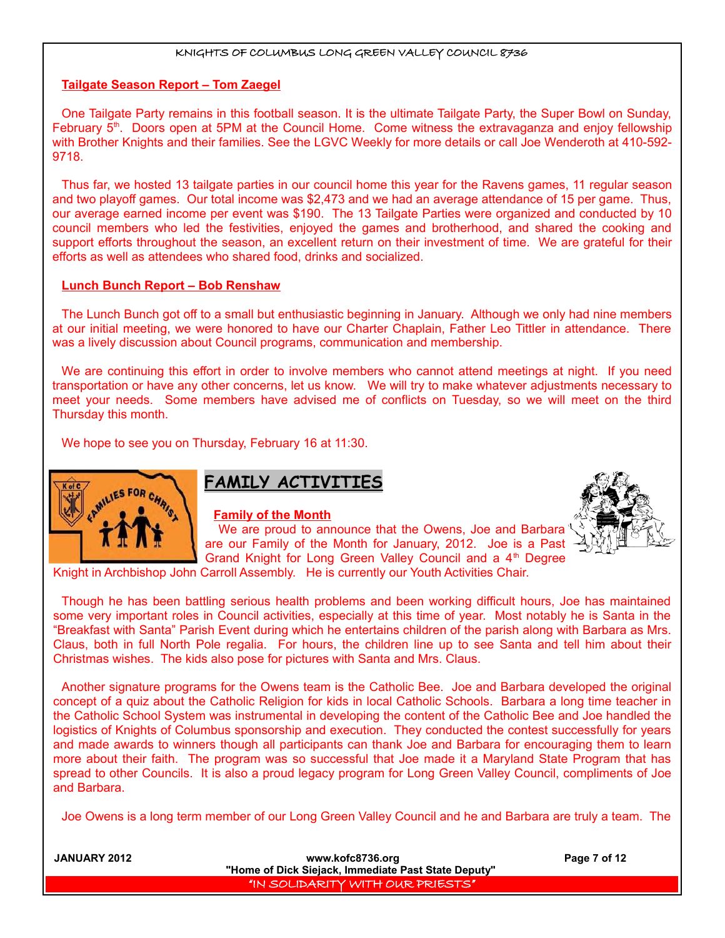#### **Tailgate Season Report – Tom Zaegel**

One Tailgate Party remains in this football season. It is the ultimate Tailgate Party, the Super Bowl on Sunday, February 5<sup>th</sup>. Doors open at 5PM at the Council Home. Come witness the extravaganza and enjoy fellowship with Brother Knights and their families. See the LGVC Weekly for more details or call Joe Wenderoth at 410-592- 9718.

Thus far, we hosted 13 tailgate parties in our council home this year for the Ravens games, 11 regular season and two playoff games. Our total income was \$2,473 and we had an average attendance of 15 per game. Thus, our average earned income per event was \$190. The 13 Tailgate Parties were organized and conducted by 10 council members who led the festivities, enjoyed the games and brotherhood, and shared the cooking and support efforts throughout the season, an excellent return on their investment of time. We are grateful for their efforts as well as attendees who shared food, drinks and socialized.

#### **Lunch Bunch Report – Bob Renshaw**

The Lunch Bunch got off to a small but enthusiastic beginning in January. Although we only had nine members at our initial meeting, we were honored to have our Charter Chaplain, Father Leo Tittler in attendance. There was a lively discussion about Council programs, communication and membership.

We are continuing this effort in order to involve members who cannot attend meetings at night. If you need transportation or have any other concerns, let us know. We will try to make whatever adjustments necessary to meet your needs. Some members have advised me of conflicts on Tuesday, so we will meet on the third Thursday this month.

We hope to see you on Thursday, February 16 at 11:30.



# **FAMILY ACTIVITIES**

#### **Family of the Month**



We are proud to announce that the Owens, Joe and Barbara are our Family of the Month for January, 2012. Joe is a Past Grand Knight for Long Green Valley Council and a 4<sup>th</sup> Degree

Knight in Archbishop John Carroll Assembly. He is currently our Youth Activities Chair.

Though he has been battling serious health problems and been working difficult hours, Joe has maintained some very important roles in Council activities, especially at this time of year. Most notably he is Santa in the "Breakfast with Santa" Parish Event during which he entertains children of the parish along with Barbara as Mrs. Claus, both in full North Pole regalia. For hours, the children line up to see Santa and tell him about their Christmas wishes. The kids also pose for pictures with Santa and Mrs. Claus.

Another signature programs for the Owens team is the Catholic Bee. Joe and Barbara developed the original concept of a quiz about the Catholic Religion for kids in local Catholic Schools. Barbara a long time teacher in the Catholic School System was instrumental in developing the content of the Catholic Bee and Joe handled the logistics of Knights of Columbus sponsorship and execution. They conducted the contest successfully for years and made awards to winners though all participants can thank Joe and Barbara for encouraging them to learn more about their faith. The program was so successful that Joe made it a Maryland State Program that has spread to other Councils. It is also a proud legacy program for Long Green Valley Council, compliments of Joe and Barbara.

Joe Owens is a long term member of our Long Green Valley Council and he and Barbara are truly a team. The

| <b>JANUARY 2012</b> | www.kofc8736.org<br>"Home of Dick Siejack, Immediate Past State Deputy" | Page 7 of 12 |
|---------------------|-------------------------------------------------------------------------|--------------|
|                     | , "IN SOLIDARITY WITH OUR PRIESTS"                                      |              |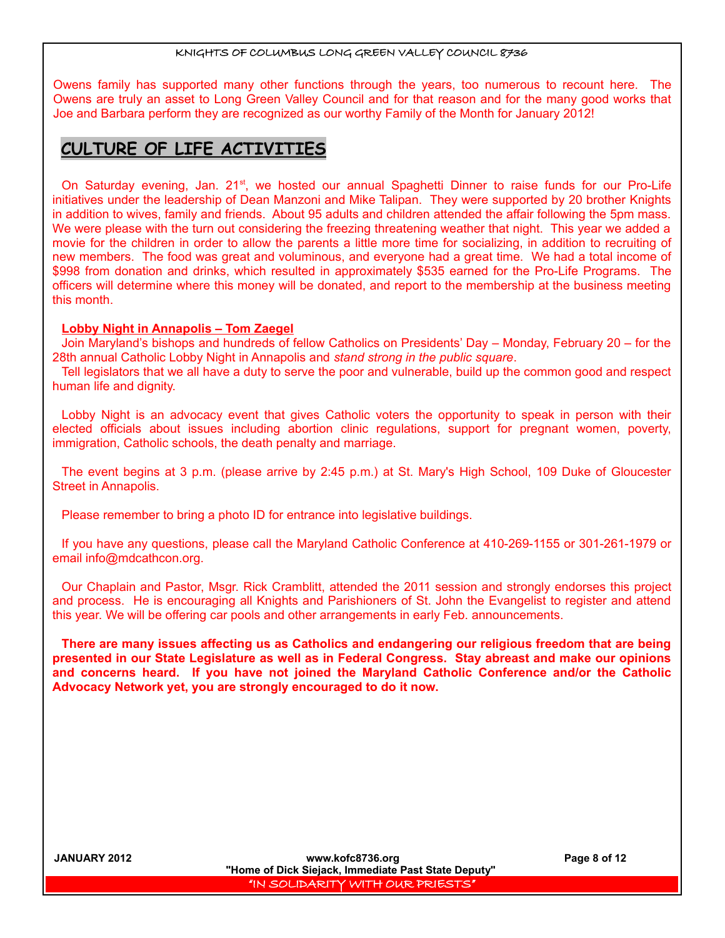Owens family has supported many other functions through the years, too numerous to recount here. The Owens are truly an asset to Long Green Valley Council and for that reason and for the many good works that Joe and Barbara perform they are recognized as our worthy Family of the Month for January 2012!

# **CULTURE OF LIFE ACTIVITIES**

On Saturday evening, Jan. 21<sup>st</sup>, we hosted our annual Spaghetti Dinner to raise funds for our Pro-Life initiatives under the leadership of Dean Manzoni and Mike Talipan. They were supported by 20 brother Knights in addition to wives, family and friends. About 95 adults and children attended the affair following the 5pm mass. We were please with the turn out considering the freezing threatening weather that night. This year we added a movie for the children in order to allow the parents a little more time for socializing, in addition to recruiting of new members. The food was great and voluminous, and everyone had a great time. We had a total income of \$998 from donation and drinks, which resulted in approximately \$535 earned for the Pro-Life Programs. The officers will determine where this money will be donated, and report to the membership at the business meeting this month.

## **Lobby Night in Annapolis – Tom Zaegel**

Join Maryland's bishops and hundreds of fellow Catholics on Presidents' Day – Monday, February 20 – for the 28th annual Catholic Lobby Night in Annapolis and *stand strong in the public square*.

Tell legislators that we all have a duty to serve the poor and vulnerable, build up the common good and respect human life and dignity.

Lobby Night is an advocacy event that gives Catholic voters the opportunity to speak in person with their elected officials about issues including abortion clinic regulations, support for pregnant women, poverty, immigration, Catholic schools, the death penalty and marriage.

The event begins at 3 p.m. (please arrive by 2:45 p.m.) at St. Mary's High School, 109 Duke of Gloucester Street in Annapolis.

Please remember to bring a photo ID for entrance into legislative buildings.

If you have any questions, please call the Maryland Catholic Conference at 410-269-1155 or 301-261-1979 or email info@mdcathcon.org.

Our Chaplain and Pastor, Msgr. Rick Cramblitt, attended the 2011 session and strongly endorses this project and process. He is encouraging all Knights and Parishioners of St. John the Evangelist to register and attend this year. We will be offering car pools and other arrangements in early Feb. announcements.

**There are many issues affecting us as Catholics and endangering our religious freedom that are being presented in our State Legislature as well as in Federal Congress. Stay abreast and make our opinions and concerns heard. If you have not joined the Maryland Catholic Conference and/or the Catholic Advocacy Network yet, you are strongly encouraged to do it now.**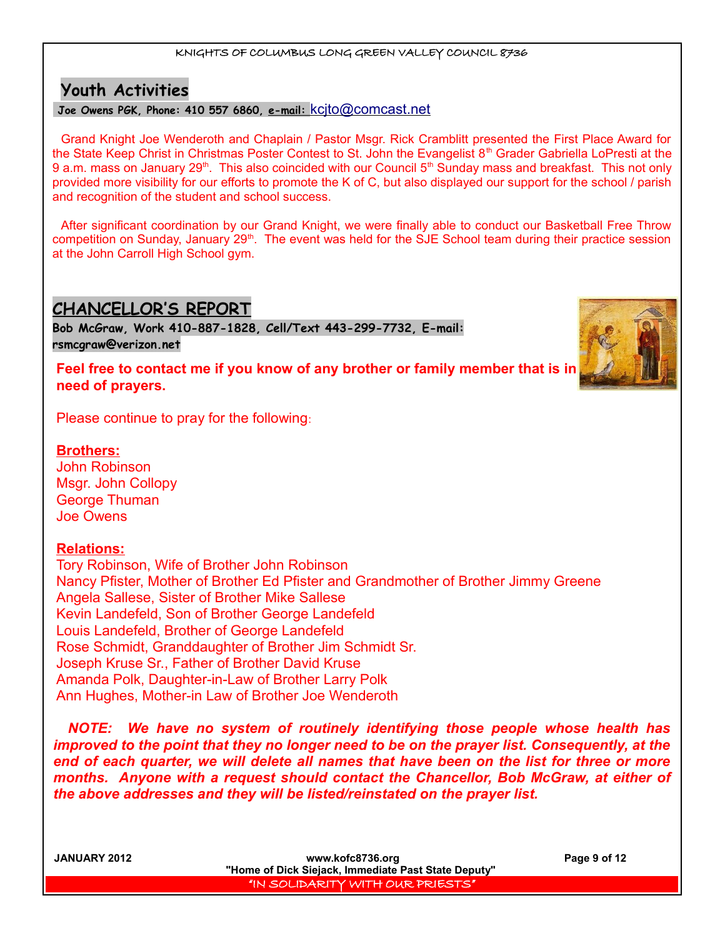# **Youth Activities**

## **Joe Owens PGK, Phone: 410 557 6860, e-mail:** [kcjto@comcast.net](mailto:kcjto@comcast.net)

Grand Knight Joe Wenderoth and Chaplain / Pastor Msgr. Rick Cramblitt presented the First Place Award for the State Keep Christ in Christmas Poster Contest to St. John the Evangelist  $8<sup>th</sup>$  Grader Gabriella LoPresti at the 9 a.m. mass on January 29<sup>th</sup>. This also coincided with our Council 5<sup>th</sup> Sunday mass and breakfast. This not only provided more visibility for our efforts to promote the K of C, but also displayed our support for the school / parish and recognition of the student and school success.

After significant coordination by our Grand Knight, we were finally able to conduct our Basketball Free Throw competition on Sunday, January 29<sup>th</sup>. The event was held for the SJE School team during their practice session at the John Carroll High School gym.

# **CHANCELLOR'S REPORT**

**Bob McGraw, Work 410-887-1828, Cell/Text 443-299-7732, E-mail: [rsmcgraw@verizon.net](mailto:rsmcgraw@verizon.net)**

**Feel free to contact me if you know of any brother or family member that is in need of prayers.** 

Please continue to pray for the following:

## **Brothers:**

John Robinson Msgr. John Collopy George Thuman Joe Owens

## **Relations:**

Tory Robinson, Wife of Brother John Robinson Nancy Pfister, Mother of Brother Ed Pfister and Grandmother of Brother Jimmy Greene Angela Sallese, Sister of Brother Mike Sallese Kevin Landefeld, Son of Brother George Landefeld Louis Landefeld, Brother of George Landefeld Rose Schmidt, Granddaughter of Brother Jim Schmidt Sr. Joseph Kruse Sr., Father of Brother David Kruse Amanda Polk, Daughter-in-Law of Brother Larry Polk Ann Hughes, Mother-in Law of Brother Joe Wenderoth

*NOTE: We have no system of routinely identifying those people whose health has improved to the point that they no longer need to be on the prayer list. Consequently, at the end of each quarter, we will delete all names that have been on the list for three or more months. Anyone with a request should contact the Chancellor, Bob McGraw, at either of the above addresses and they will be listed/reinstated on the prayer list.* 

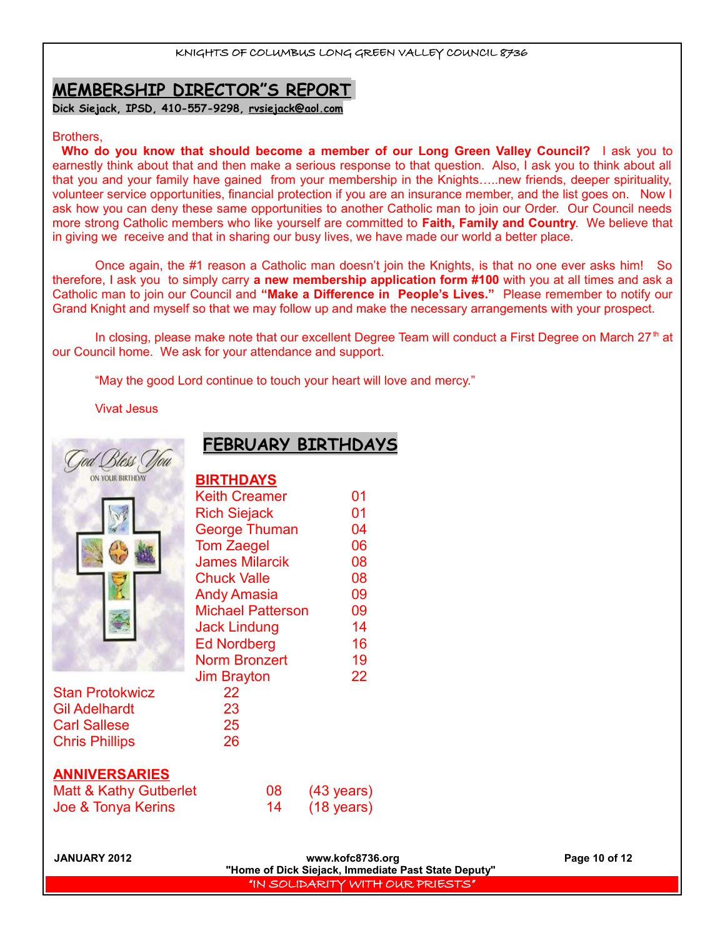# **MEMBERSHIP DIRECTOR"S REPORT**

**Dick Siejack, IPSD, 410-557-9298, [rvsiejack@aol.com](mailto:rvsiejack@aol.com)**

#### Brothers,

**Who do you know that should become a member of our Long Green Valley Council?** I ask you to earnestly think about that and then make a serious response to that question. Also, I ask you to think about all that you and your family have gained from your membership in the Knights…..new friends, deeper spirituality, volunteer service opportunities, financial protection if you are an insurance member, and the list goes on. Now I ask how you can deny these same opportunities to another Catholic man to join our Order. Our Council needs more strong Catholic members who like yourself are committed to **Faith, Family and Country**. We believe that in giving we receive and that in sharing our busy lives, we have made our world a better place.

Once again, the #1 reason a Catholic man doesn't join the Knights, is that no one ever asks him! So therefore, I ask you to simply carry **a new membership application form #100** with you at all times and ask a Catholic man to join our Council and **"Make a Difference in People's Lives."** Please remember to notify our Grand Knight and myself so that we may follow up and make the necessary arrangements with your prospect.

In closing, please make note that our excellent Degree Team will conduct a First Degree on March 27<sup>th</sup> at our Council home. We ask for your attendance and support.

"May the good Lord continue to touch your heart will love and mercy."

#### Vivat Jesus

|  | Bless (<br>ON YOUR BIRTHDAY |  |
|--|-----------------------------|--|
|  |                             |  |
|  |                             |  |
|  |                             |  |
|  |                             |  |

# **FEBRUARY BIRTHDAYS**

| <b>BIRTHDAYS</b>         |    |
|--------------------------|----|
| <b>Keith Creamer</b>     | 01 |
| <b>Rich Siejack</b>      | 01 |
| <b>George Thuman</b>     | 04 |
| <b>Tom Zaegel</b>        | 06 |
| <b>James Milarcik</b>    | 08 |
| <b>Chuck Valle</b>       | 08 |
| <b>Andy Amasia</b>       | 09 |
| <b>Michael Patterson</b> | 09 |
| <b>Jack Lindung</b>      | 14 |
| <b>Ed Nordberg</b>       | 16 |
| <b>Norm Bronzert</b>     | 19 |
| <b>Jim Brayton</b>       | 22 |
| 22                       |    |
| 23                       |    |
| 25                       |    |
| 26                       |    |
|                          |    |

## **ANNIVERSARIES**

Stan Protokwicz Gil Adelhardt Carl Sallese Chris Phillips

| Matt & Kathy Gutberlet | 08 | $(43 \text{ years})$ |
|------------------------|----|----------------------|
| Joe & Tonya Kerins     |    | $(18 \text{ years})$ |

**JANUARY 2012 www.kofc8736.org Page 10 of 12 "Home of Dick Siejack, Immediate Past State Deputy"**  "IN SOLIDARITY WITH OUR PRIESTS"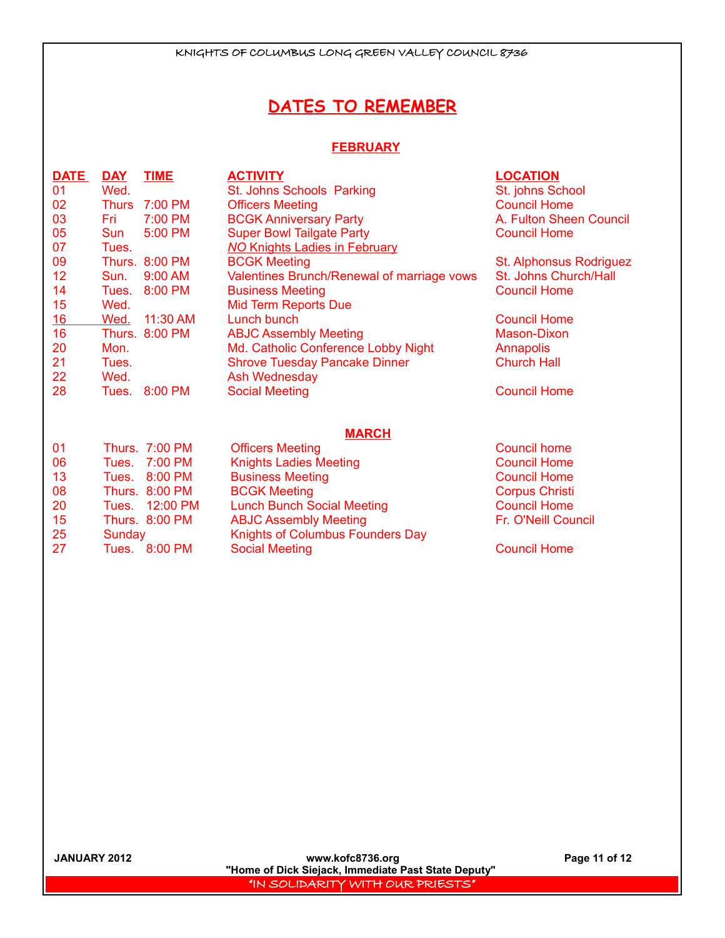# **DATES TO REMEMBER**

### **FEBRUARY**

| <b>DATE</b> | <u>DAY</u>   | <b>TIME</b>           | <b>ACTIVITY</b>                            | <b>LOCATION</b>         |
|-------------|--------------|-----------------------|--------------------------------------------|-------------------------|
| 01          | Wed.         |                       | St. Johns Schools Parking                  | St. johns School        |
| 02          | <b>Thurs</b> | $7:00$ PM             | <b>Officers Meeting</b>                    | <b>Council Home</b>     |
| 03          | Fri          | 7:00 PM               | <b>BCGK Anniversary Party</b>              | A. Fulton Sheen Council |
| 05          | Sun          | 5:00 PM               | <b>Super Bowl Tailgate Party</b>           | <b>Council Home</b>     |
| 07          | Tues.        |                       | <b>NO Knights Ladies in February</b>       |                         |
| 09          |              | Thurs. 8:00 PM        | <b>BCGK Meeting</b>                        | St. Alphonsus Rodriguez |
| 12          | Sun.         | 9:00 AM               | Valentines Brunch/Renewal of marriage vows | St. Johns Church/Hall   |
| 14          | Tues.        | 8:00 PM               | <b>Business Meeting</b>                    | <b>Council Home</b>     |
| 15          | Wed.         |                       | <b>Mid Term Reports Due</b>                |                         |
| 16          | Wed.         | 11:30 AM              | Lunch bunch                                | <b>Council Home</b>     |
| 16          |              | Thurs. 8:00 PM        | <b>ABJC Assembly Meeting</b>               | Mason-Dixon             |
| 20          | Mon.         |                       | Md. Catholic Conference Lobby Night        | Annapolis               |
| 21          | Tues.        |                       | <b>Shrove Tuesday Pancake Dinner</b>       | <b>Church Hall</b>      |
| 22          | Wed.         |                       | Ash Wednesday                              |                         |
| 28          | Tues.        | 8:00 PM               | <b>Social Meeting</b>                      | <b>Council Home</b>     |
|             |              |                       |                                            |                         |
|             |              |                       | <b>MARCH</b>                               |                         |
| 01          |              | Thurs. 7:00 PM        | <b>Officers Meeting</b>                    | <b>Council home</b>     |
| 06          | Tues.        | 7:00 PM               | <b>Knights Ladies Meeting</b>              | <b>Council Home</b>     |
| 13          | Tues.        | 8:00 PM               | <b>Business Meeting</b>                    | <b>Council Home</b>     |
| 08          |              | <b>Thurs. 8:00 PM</b> | <b>BCGK Meeting</b>                        | <b>Corpus Christi</b>   |
| 20          | Tues.        | 12:00 PM              | <b>Lunch Bunch Social Meeting</b>          | <b>Council Home</b>     |
| 15          |              | Thurs. 8:00 PM        | <b>ABJC Assembly Meeting</b>               | Fr. O'Neill Council     |
| 25          | Sunday       |                       | <b>Knights of Columbus Founders Day</b>    |                         |

27 Tues. 8:00 PM Social Meeting Council Home Council Home

**JANUARY 2012 www.kofc8736.org Page 11 of 12 "Home of Dick Siejack, Immediate Past State Deputy"**  "IN SOLIDARITY WITH OUR PRIESTS"